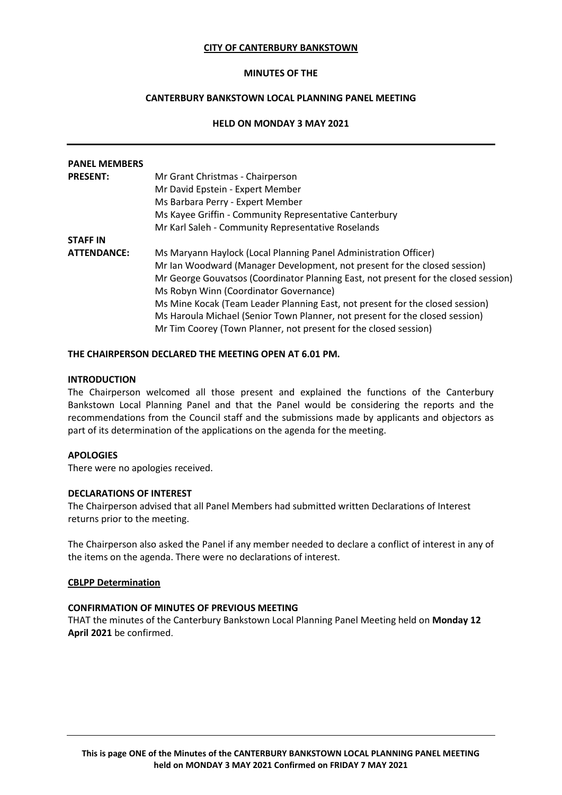## **CITY OF CANTERBURY BANKSTOWN**

## **MINUTES OF THE**

# **CANTERBURY BANKSTOWN LOCAL PLANNING PANEL MEETING**

# **HELD ON MONDAY 3 MAY 2021**

| <b>PANEL MEMBERS</b> |                                                                                     |
|----------------------|-------------------------------------------------------------------------------------|
| <b>PRESENT:</b>      | Mr Grant Christmas - Chairperson                                                    |
|                      | Mr David Epstein - Expert Member                                                    |
|                      | Ms Barbara Perry - Expert Member                                                    |
|                      | Ms Kayee Griffin - Community Representative Canterbury                              |
|                      | Mr Karl Saleh - Community Representative Roselands                                  |
| <b>STAFF IN</b>      |                                                                                     |
| <b>ATTENDANCE:</b>   | Ms Maryann Haylock (Local Planning Panel Administration Officer)                    |
|                      | Mr Ian Woodward (Manager Development, not present for the closed session)           |
|                      | Mr George Gouvatsos (Coordinator Planning East, not present for the closed session) |
|                      | Ms Robyn Winn (Coordinator Governance)                                              |
|                      | Ms Mine Kocak (Team Leader Planning East, not present for the closed session)       |
|                      | Ms Haroula Michael (Senior Town Planner, not present for the closed session)        |
|                      | Mr Tim Coorey (Town Planner, not present for the closed session)                    |

## **THE CHAIRPERSON DECLARED THE MEETING OPEN AT 6.01 PM.**

## **INTRODUCTION**

The Chairperson welcomed all those present and explained the functions of the Canterbury Bankstown Local Planning Panel and that the Panel would be considering the reports and the recommendations from the Council staff and the submissions made by applicants and objectors as part of its determination of the applications on the agenda for the meeting.

## **APOLOGIES**

There were no apologies received.

## **DECLARATIONS OF INTEREST**

The Chairperson advised that all Panel Members had submitted written Declarations of Interest returns prior to the meeting.

The Chairperson also asked the Panel if any member needed to declare a conflict of interest in any of the items on the agenda. There were no declarations of interest.

# **CBLPP Determination**

# **CONFIRMATION OF MINUTES OF PREVIOUS MEETING**

THAT the minutes of the Canterbury Bankstown Local Planning Panel Meeting held on **Monday 12 April 2021** be confirmed.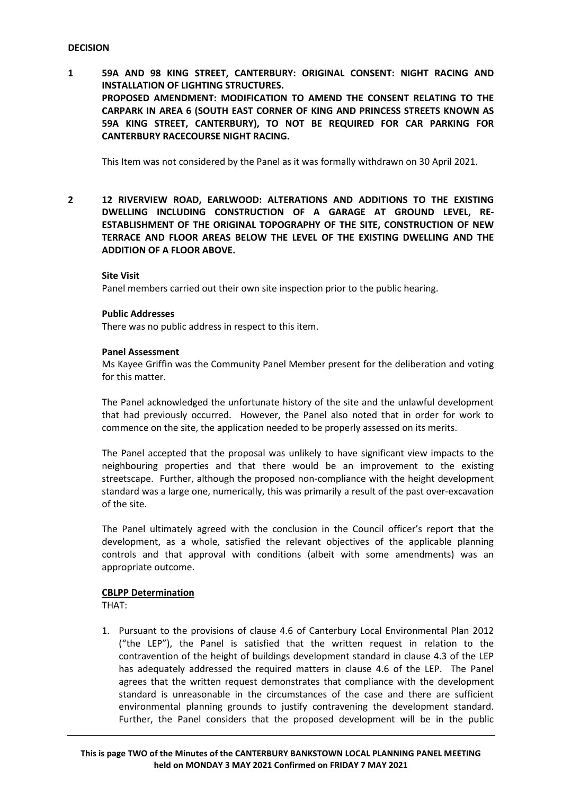## **DECISION**

**1 59A AND 98 KING STREET, CANTERBURY: ORIGINAL CONSENT: NIGHT RACING AND INSTALLATION OF LIGHTING STRUCTURES. PROPOSED AMENDMENT: MODIFICATION TO AMEND THE CONSENT RELATING TO THE CARPARK IN AREA 6 (SOUTH EAST CORNER OF KING AND PRINCESS STREETS KNOWN AS 59A KING STREET, CANTERBURY), TO NOT BE REQUIRED FOR CAR PARKING FOR CANTERBURY RACECOURSE NIGHT RACING.**

This Item was not considered by the Panel as it was formally withdrawn on 30 April 2021.

**2 12 RIVERVIEW ROAD, EARLWOOD: ALTERATIONS AND ADDITIONS TO THE EXISTING DWELLING INCLUDING CONSTRUCTION OF A GARAGE AT GROUND LEVEL, RE-ESTABLISHMENT OF THE ORIGINAL TOPOGRAPHY OF THE SITE, CONSTRUCTION OF NEW TERRACE AND FLOOR AREAS BELOW THE LEVEL OF THE EXISTING DWELLING AND THE ADDITION OF A FLOOR ABOVE.**

## **Site Visit**

Panel members carried out their own site inspection prior to the public hearing.

#### **Public Addresses**

There was no public address in respect to this item.

#### **Panel Assessment**

Ms Kayee Griffin was the Community Panel Member present for the deliberation and voting for this matter.

The Panel acknowledged the unfortunate history of the site and the unlawful development that had previously occurred. However, the Panel also noted that in order for work to commence on the site, the application needed to be properly assessed on its merits.

The Panel accepted that the proposal was unlikely to have significant view impacts to the neighbouring properties and that there would be an improvement to the existing streetscape. Further, although the proposed non-compliance with the height development standard was a large one, numerically, this was primarily a result of the past over-excavation of the site.

The Panel ultimately agreed with the conclusion in the Council officer's report that the development, as a whole, satisfied the relevant objectives of the applicable planning controls and that approval with conditions (albeit with some amendments) was an appropriate outcome.

## **CBLPP Determination**

THAT:

1. Pursuant to the provisions of clause 4.6 of Canterbury Local Environmental Plan 2012 ("the LEP"), the Panel is satisfied that the written request in relation to the contravention of the height of buildings development standard in clause 4.3 of the LEP has adequately addressed the required matters in clause 4.6 of the LEP. The Panel agrees that the written request demonstrates that compliance with the development standard is unreasonable in the circumstances of the case and there are sufficient environmental planning grounds to justify contravening the development standard. Further, the Panel considers that the proposed development will be in the public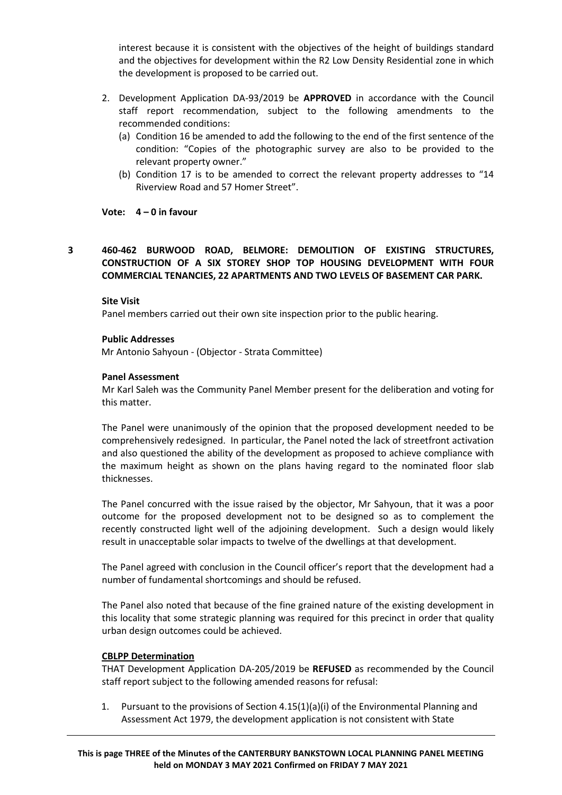interest because it is consistent with the objectives of the height of buildings standard and the objectives for development within the R2 Low Density Residential zone in which the development is proposed to be carried out.

- 2. Development Application DA-93/2019 be **APPROVED** in accordance with the Council staff report recommendation, subject to the following amendments to the recommended conditions:
	- (a) Condition 16 be amended to add the following to the end of the first sentence of the condition: "Copies of the photographic survey are also to be provided to the relevant property owner."
	- (b) Condition 17 is to be amended to correct the relevant property addresses to "14 Riverview Road and 57 Homer Street".

# **Vote: 4 – 0 in favour**

# **3 460-462 BURWOOD ROAD, BELMORE: DEMOLITION OF EXISTING STRUCTURES, CONSTRUCTION OF A SIX STOREY SHOP TOP HOUSING DEVELOPMENT WITH FOUR COMMERCIAL TENANCIES, 22 APARTMENTS AND TWO LEVELS OF BASEMENT CAR PARK.**

# **Site Visit**

Panel members carried out their own site inspection prior to the public hearing.

# **Public Addresses**

Mr Antonio Sahyoun - (Objector - Strata Committee)

# **Panel Assessment**

Mr Karl Saleh was the Community Panel Member present for the deliberation and voting for this matter.

The Panel were unanimously of the opinion that the proposed development needed to be comprehensively redesigned. In particular, the Panel noted the lack of streetfront activation and also questioned the ability of the development as proposed to achieve compliance with the maximum height as shown on the plans having regard to the nominated floor slab thicknesses.

The Panel concurred with the issue raised by the objector, Mr Sahyoun, that it was a poor outcome for the proposed development not to be designed so as to complement the recently constructed light well of the adjoining development. Such a design would likely result in unacceptable solar impacts to twelve of the dwellings at that development.

The Panel agreed with conclusion in the Council officer's report that the development had a number of fundamental shortcomings and should be refused.

The Panel also noted that because of the fine grained nature of the existing development in this locality that some strategic planning was required for this precinct in order that quality urban design outcomes could be achieved.

## **CBLPP Determination**

THAT Development Application DA-205/2019 be **REFUSED** as recommended by the Council staff report subject to the following amended reasons for refusal:

1. Pursuant to the provisions of Section 4.15(1)(a)(i) of the Environmental Planning and Assessment Act 1979, the development application is not consistent with State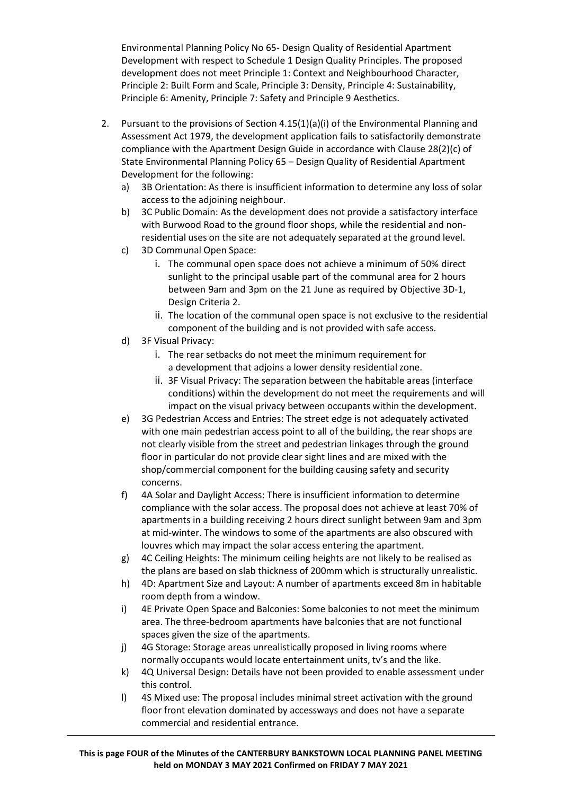Environmental Planning Policy No 65- Design Quality of Residential Apartment Development with respect to Schedule 1 Design Quality Principles. The proposed development does not meet Principle 1: Context and Neighbourhood Character, Principle 2: Built Form and Scale, Principle 3: Density, Principle 4: Sustainability, Principle 6: Amenity, Principle 7: Safety and Principle 9 Aesthetics.

- 2. Pursuant to the provisions of Section  $4.15(1)(a)(i)$  of the Environmental Planning and Assessment Act 1979, the development application fails to satisfactorily demonstrate compliance with the Apartment Design Guide in accordance with Clause 28(2)(c) of State Environmental Planning Policy 65 – Design Quality of Residential Apartment Development for the following:
	- a) 3B Orientation: As there is insufficient information to determine any loss of solar access to the adjoining neighbour.
	- b) 3C Public Domain: As the development does not provide a satisfactory interface with Burwood Road to the ground floor shops, while the residential and nonresidential uses on the site are not adequately separated at the ground level.
	- c) 3D Communal Open Space:
		- i. The communal open space does not achieve a minimum of 50% direct sunlight to the principal usable part of the communal area for 2 hours between 9am and 3pm on the 21 June as required by Objective 3D-1, Design Criteria 2.
		- ii. The location of the communal open space is not exclusive to the residential component of the building and is not provided with safe access.
	- d) 3F Visual Privacy:
		- i. The rear setbacks do not meet the minimum requirement for a development that adjoins a lower density residential zone.
		- ii. 3F Visual Privacy: The separation between the habitable areas (interface conditions) within the development do not meet the requirements and will impact on the visual privacy between occupants within the development.
	- e) 3G Pedestrian Access and Entries: The street edge is not adequately activated with one main pedestrian access point to all of the building, the rear shops are not clearly visible from the street and pedestrian linkages through the ground floor in particular do not provide clear sight lines and are mixed with the shop/commercial component for the building causing safety and security concerns.
	- f) 4A Solar and Daylight Access: There is insufficient information to determine compliance with the solar access. The proposal does not achieve at least 70% of apartments in a building receiving 2 hours direct sunlight between 9am and 3pm at mid-winter. The windows to some of the apartments are also obscured with louvres which may impact the solar access entering the apartment.
	- g) 4C Ceiling Heights: The minimum ceiling heights are not likely to be realised as the plans are based on slab thickness of 200mm which is structurally unrealistic.
	- h) 4D: Apartment Size and Layout: A number of apartments exceed 8m in habitable room depth from a window.
	- i) 4E Private Open Space and Balconies: Some balconies to not meet the minimum area. The three-bedroom apartments have balconies that are not functional spaces given the size of the apartments.
	- j) 4G Storage: Storage areas unrealistically proposed in living rooms where normally occupants would locate entertainment units, tv's and the like.
	- k) 4Q Universal Design: Details have not been provided to enable assessment under this control.
	- l) 4S Mixed use: The proposal includes minimal street activation with the ground floor front elevation dominated by accessways and does not have a separate commercial and residential entrance.